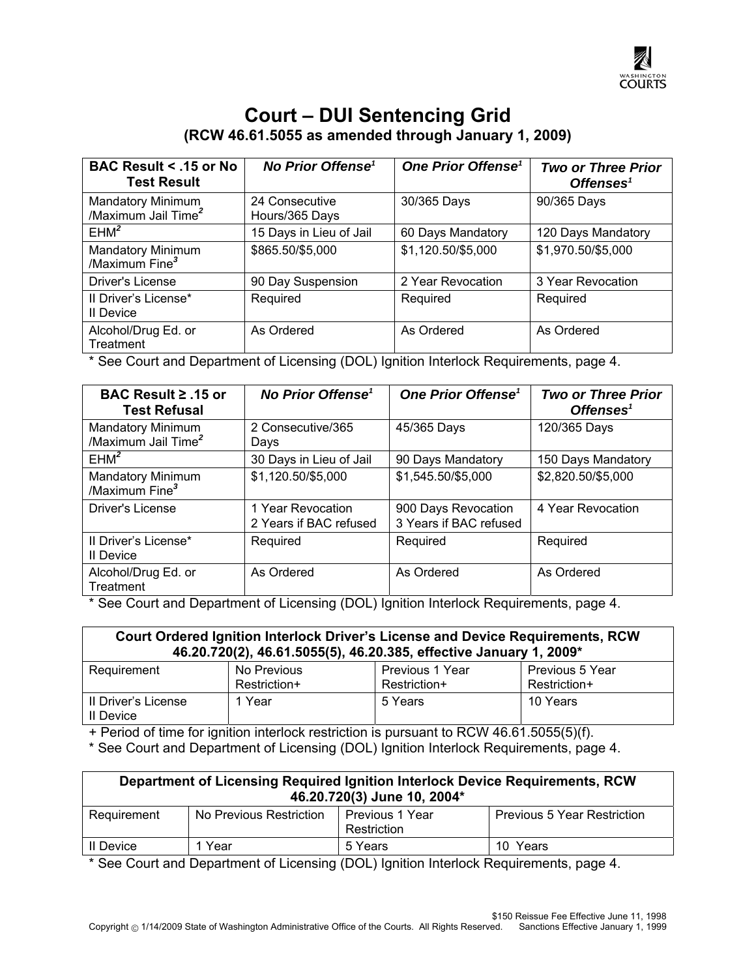

## **Court – DUI Sentencing Grid (RCW 46.61.5055 as amended through January 1, 2009)**

| <b>BAC Result &lt; .15 or No</b><br><b>Test Result</b> | <b>No Prior Offense<sup>1</sup></b> | One Prior Offense <sup>1</sup> | <b>Two or Three Prior</b><br>Offenses <sup>1</sup> |
|--------------------------------------------------------|-------------------------------------|--------------------------------|----------------------------------------------------|
| Mandatory Minimum<br>/Maximum Jail Time <sup>2</sup>   | 24 Consecutive<br>Hours/365 Days    | 30/365 Days                    | 90/365 Days                                        |
| EHM <sup>2</sup>                                       | 15 Days in Lieu of Jail             | 60 Days Mandatory              | 120 Days Mandatory                                 |
| <b>Mandatory Minimum</b><br>/Maximum Fine <sup>3</sup> | \$865.50/\$5,000                    | \$1,120.50/\$5,000             | \$1,970.50/\$5,000                                 |
| Driver's License                                       | 90 Day Suspension                   | 2 Year Revocation              | 3 Year Revocation                                  |
| II Driver's License*<br>Il Device                      | Required                            | Required                       | Required                                           |
| Alcohol/Drug Ed. or<br>Treatment                       | As Ordered                          | As Ordered                     | As Ordered                                         |

\* See Court and Department of Licensing (DOL) Ignition Interlock Requirements, page 4.

| BAC Result ≥ .15 or<br><b>Test Refusal</b>             | No Prior Offense <sup>1</sup>               | One Prior Offense <sup>1</sup>                | <b>Two or Three Prior</b><br>Offenses <sup>1</sup> |
|--------------------------------------------------------|---------------------------------------------|-----------------------------------------------|----------------------------------------------------|
| Mandatory Minimum<br>/Maximum Jail Time <sup>2</sup>   | 2 Consecutive/365<br>Days                   | 45/365 Days                                   | 120/365 Days                                       |
| EHM <sup>2</sup>                                       | 30 Days in Lieu of Jail                     | 90 Days Mandatory                             | 150 Days Mandatory                                 |
| <b>Mandatory Minimum</b><br>/Maximum Fine <sup>3</sup> | \$1,120.50/\$5,000                          | \$1,545.50/\$5,000                            | \$2,820.50/\$5,000                                 |
| Driver's License                                       | 1 Year Revocation<br>2 Years if BAC refused | 900 Days Revocation<br>3 Years if BAC refused | 4 Year Revocation                                  |
| Il Driver's License*<br>II Device                      | Required                                    | Required                                      | Required                                           |
| Alcohol/Drug Ed. or<br>Treatment                       | As Ordered                                  | As Ordered                                    | As Ordered                                         |

\* See Court and Department of Licensing (DOL) Ignition Interlock Requirements, page 4.

| Court Ordered Ignition Interlock Driver's License and Device Requirements, RCW<br>46.20.720(2), 46.61.5055(5), 46.20.385, effective January 1, 2009* |                             |                                 |                                 |
|------------------------------------------------------------------------------------------------------------------------------------------------------|-----------------------------|---------------------------------|---------------------------------|
| Requirement                                                                                                                                          | No Previous<br>Restriction+ | Previous 1 Year<br>Restriction+ | Previous 5 Year<br>Restriction+ |
| Il Driver's License<br>Il Device                                                                                                                     | 1 Year                      | 5 Years                         | 10 Years                        |

+ Period of time for ignition interlock restriction is pursuant to RCW 46.61.5055(5)(f).

\* See Court and Department of Licensing (DOL) Ignition Interlock Requirements, page 4.

| Department of Licensing Required Ignition Interlock Device Requirements, RCW<br>46.20.720(3) June 10, 2004* |                         |                                |                                    |
|-------------------------------------------------------------------------------------------------------------|-------------------------|--------------------------------|------------------------------------|
| Requirement                                                                                                 | No Previous Restriction | Previous 1 Year<br>Restriction | <b>Previous 5 Year Restriction</b> |
| Il Device                                                                                                   | 1 Year                  | 5 Years                        | 10 Years                           |

\* See Court and Department of Licensing (DOL) Ignition Interlock Requirements, page 4.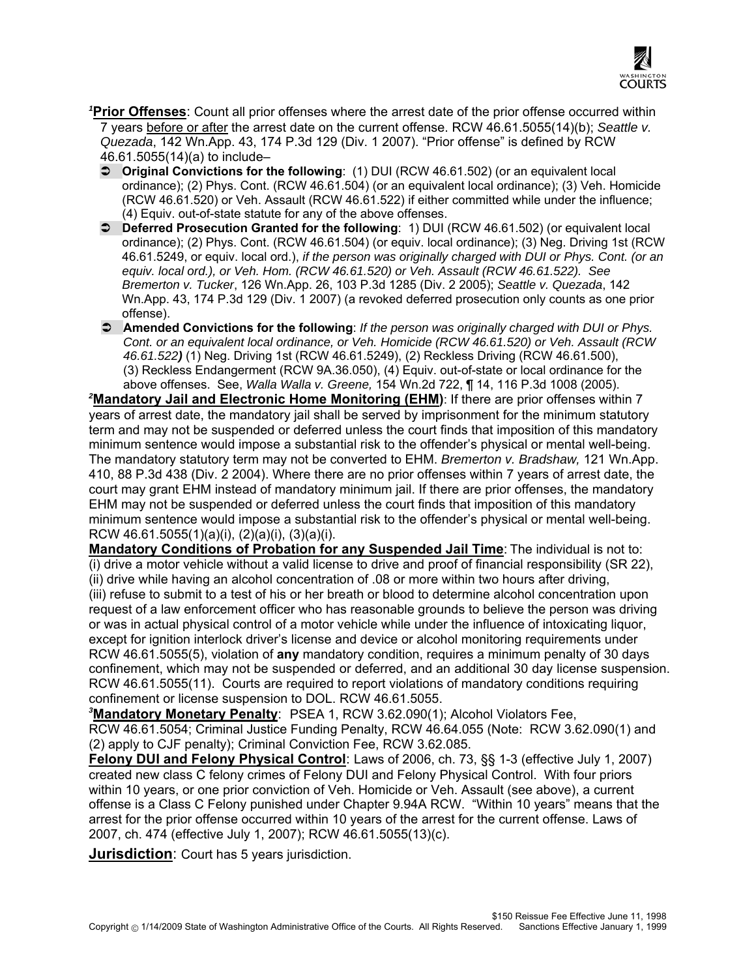

<sup>1</sup>Prior Offenses: Count all prior offenses where the arrest date of the prior offense occurred within 7 years before or after the arrest date on the current offense. RCW 46.61.5055(14)(b); *Seattle v. Quezada*, 142 Wn.App. 43, 174 P.3d 129 (Div. 1 2007). "Prior offense" is defined by RCW 46.61.5055(14)(a) to include–

- **Ci** Original Convictions for the following: (1) DUI (RCW 46.61.502) (or an equivalent local ordinance); (2) Phys. Cont. (RCW 46.61.504) (or an equivalent local ordinance); (3) Veh. Homicide (RCW 46.61.520) or Veh. Assault (RCW 46.61.522) if either committed while under the influence; (4) Equiv. out-of-state statute for any of the above offenses.
- **C** Deferred Prosecution Granted for the following: 1) DUI (RCW 46.61.502) (or equivalent local ordinance); (2) Phys. Cont. (RCW 46.61.504) (or equiv. local ordinance); (3) Neg. Driving 1st (RCW 46.61.5249, or equiv. local ord.), *if the person was originally charged with DUI or Phys. Cont. (or an equiv. local ord.), or Veh. Hom. (RCW 46.61.520) or Veh. Assault (RCW 46.61.522). See Bremerton v. Tucker*, 126 Wn.App. 26, 103 P.3d 1285 (Div. 2 2005); *Seattle v. Quezada*, 142 Wn.App. 43, 174 P.3d 129 (Div. 1 2007) (a revoked deferred prosecution only counts as one prior offense).
- Â **Amended Convictions for the following**: *If the person was originally charged with DUI or Phys. Cont. or an equivalent local ordinance, or Veh. Homicide (RCW 46.61.520) or Veh. Assault (RCW 46.61.522)* (1) Neg. Driving 1st (RCW 46.61.5249), (2) Reckless Driving (RCW 46.61.500), (3) Reckless Endangerment (RCW 9A.36.050), (4) Equiv. out-of-state or local ordinance for the above offenses. See, *Walla Walla v. Greene,* 154 Wn.2d 722, ¶ 14, 116 P.3d 1008 (2005).

<sup>2</sup>Mandatory Jail and Electronic Home Monitoring (EHM): If there are prior offenses within 7 years of arrest date, the mandatory jail shall be served by imprisonment for the minimum statutory term and may not be suspended or deferred unless the court finds that imposition of this mandatory minimum sentence would impose a substantial risk to the offender's physical or mental well-being. The mandatory statutory term may not be converted to EHM. *Bremerton v. Bradshaw,* 121 Wn.App. 410, 88 P.3d 438 (Div. 2 2004). Where there are no prior offenses within 7 years of arrest date, the court may grant EHM instead of mandatory minimum jail. If there are prior offenses, the mandatory EHM may not be suspended or deferred unless the court finds that imposition of this mandatory minimum sentence would impose a substantial risk to the offender's physical or mental well-being. RCW 46.61.5055(1)(a)(i), (2)(a)(i), (3)(a)(i).

**Mandatory Conditions of Probation for any Suspended Jail Time**: The individual is not to: (i) drive a motor vehicle without a valid license to drive and proof of financial responsibility (SR 22), (ii) drive while having an alcohol concentration of .08 or more within two hours after driving, (iii) refuse to submit to a test of his or her breath or blood to determine alcohol concentration upon request of a law enforcement officer who has reasonable grounds to believe the person was driving or was in actual physical control of a motor vehicle while under the influence of intoxicating liquor, except for ignition interlock driver's license and device or alcohol monitoring requirements under RCW 46.61.5055(5), violation of **any** mandatory condition, requires a minimum penalty of 30 days confinement, which may not be suspended or deferred, and an additional 30 day license suspension. RCW 46.61.5055(11). Courts are required to report violations of mandatory conditions requiring confinement or license suspension to DOL. RCW 46.61.5055.

*3* **Mandatory Monetary Penalty**: PSEA 1, RCW 3.62.090(1); Alcohol Violators Fee, RCW 46.61.5054; Criminal Justice Funding Penalty, RCW 46.64.055 (Note: RCW 3.62.090(1) and (2) apply to CJF penalty); Criminal Conviction Fee, RCW 3.62.085.

**Felony DUI and Felony Physical Control**: Laws of 2006, ch. 73, §§ 1-3 (effective July 1, 2007) created new class C felony crimes of Felony DUI and Felony Physical Control. With four priors within 10 years, or one prior conviction of Veh. Homicide or Veh. Assault (see above), a current offense is a Class C Felony punished under Chapter 9.94A RCW. "Within 10 years" means that the arrest for the prior offense occurred within 10 years of the arrest for the current offense. Laws of 2007, ch. 474 (effective July 1, 2007); RCW 46.61.5055(13)(c).

**Jurisdiction**: Court has 5 years jurisdiction.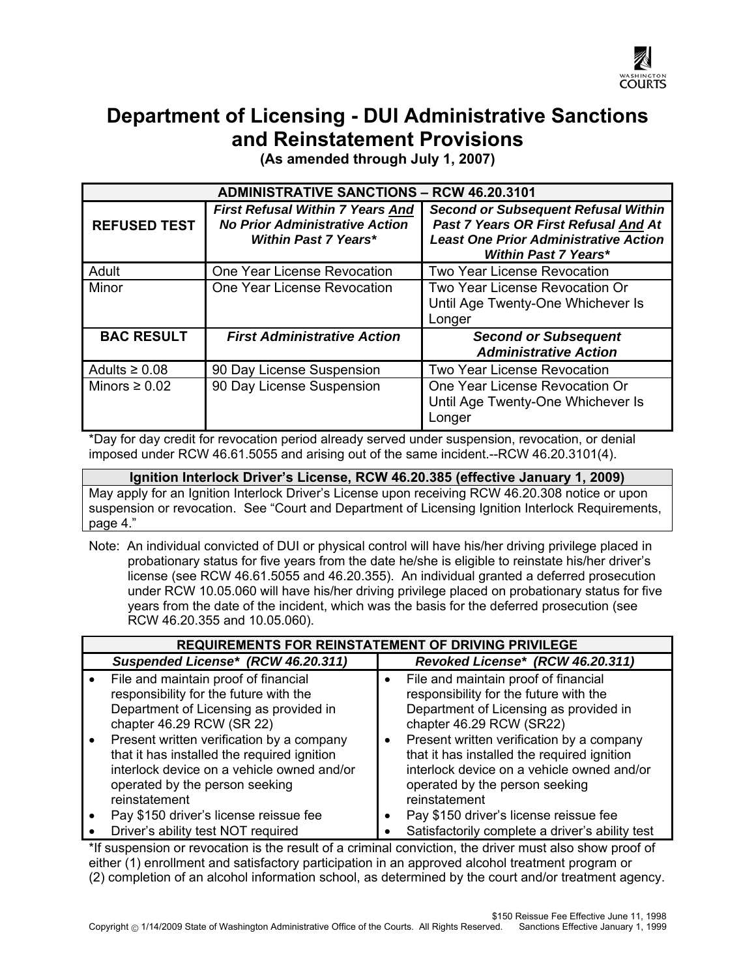

## **Department of Licensing - DUI Administrative Sanctions and Reinstatement Provisions**

**(As amended through July 1, 2007)** 

| <b>ADMINISTRATIVE SANCTIONS - RCW 46.20.3101</b> |                                                                                                                 |                                                                                                                                                                   |
|--------------------------------------------------|-----------------------------------------------------------------------------------------------------------------|-------------------------------------------------------------------------------------------------------------------------------------------------------------------|
| <b>REFUSED TEST</b>                              | <b>First Refusal Within 7 Years And</b><br><b>No Prior Administrative Action</b><br><b>Within Past 7 Years*</b> | <b>Second or Subsequent Refusal Within</b><br>Past 7 Years OR First Refusal And At<br><b>Least One Prior Administrative Action</b><br><b>Within Past 7 Years*</b> |
| Adult                                            | One Year License Revocation                                                                                     | <b>Two Year License Revocation</b>                                                                                                                                |
| Minor                                            | One Year License Revocation                                                                                     | Two Year License Revocation Or<br>Until Age Twenty-One Whichever Is<br>Longer                                                                                     |
| <b>BAC RESULT</b>                                | <b>First Administrative Action</b>                                                                              | <b>Second or Subsequent</b><br><b>Administrative Action</b>                                                                                                       |
| Adults $\geq 0.08$                               | 90 Day License Suspension                                                                                       | <b>Two Year License Revocation</b>                                                                                                                                |
| Minors $\geq 0.02$                               | 90 Day License Suspension                                                                                       | One Year License Revocation Or<br>Until Age Twenty-One Whichever Is<br>Longer                                                                                     |

\*Day for day credit for revocation period already served under suspension, revocation, or denial imposed under RCW 46.61.5055 and arising out of the same incident.--RCW 46.20.3101(4).

**Ignition Interlock Driver's License, RCW 46.20.385 (effective January 1, 2009)**  May apply for an Ignition Interlock Driver's License upon receiving RCW 46.20.308 notice or upon suspension or revocation. See "Court and Department of Licensing Ignition Interlock Requirements, page 4."

Note: An individual convicted of DUI or physical control will have his/her driving privilege placed in probationary status for five years from the date he/she is eligible to reinstate his/her driver's license (see RCW 46.61.5055 and 46.20.355). An individual granted a deferred prosecution under RCW 10.05.060 will have his/her driving privilege placed on probationary status for five years from the date of the incident, which was the basis for the deferred prosecution (see RCW 46.20.355 and 10.05.060).

| <b>REQUIREMENTS FOR REINSTATEMENT OF DRIVING PRIVILEGE</b>                                                                                                                                                      |                                                                                                                                                                                                   |  |
|-----------------------------------------------------------------------------------------------------------------------------------------------------------------------------------------------------------------|---------------------------------------------------------------------------------------------------------------------------------------------------------------------------------------------------|--|
| Suspended License* (RCW 46.20.311)                                                                                                                                                                              | Revoked License* (RCW 46.20.311)                                                                                                                                                                  |  |
| File and maintain proof of financial<br>responsibility for the future with the<br>Department of Licensing as provided in<br>chapter 46.29 RCW (SR 22)<br>Present written verification by a company<br>$\bullet$ | File and maintain proof of financial<br>responsibility for the future with the<br>Department of Licensing as provided in<br>chapter 46.29 RCW (SR22)<br>Present written verification by a company |  |
| that it has installed the required ignition<br>interlock device on a vehicle owned and/or<br>operated by the person seeking<br>reinstatement                                                                    | that it has installed the required ignition<br>interlock device on a vehicle owned and/or<br>operated by the person seeking<br>reinstatement                                                      |  |
| Pay \$150 driver's license reissue fee                                                                                                                                                                          | Pay \$150 driver's license reissue fee                                                                                                                                                            |  |
| Driver's ability test NOT required                                                                                                                                                                              | Satisfactorily complete a driver's ability test                                                                                                                                                   |  |

\*If suspension or revocation is the result of a criminal conviction, the driver must also show proof of either (1) enrollment and satisfactory participation in an approved alcohol treatment program or (2) completion of an alcohol information school, as determined by the court and/or treatment agency.